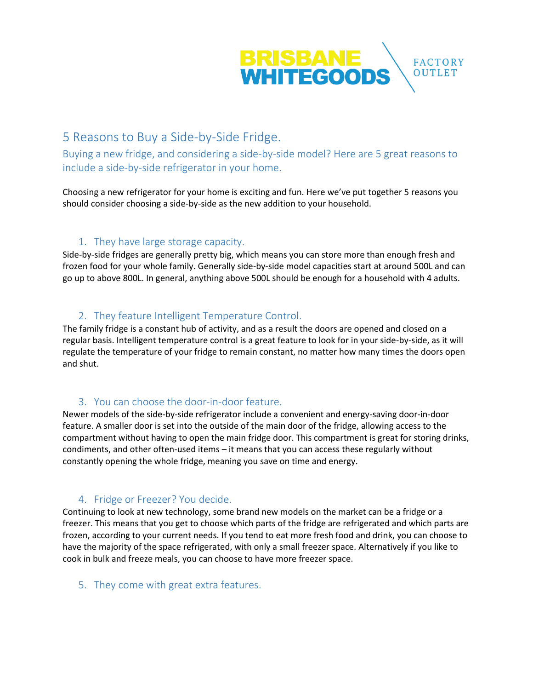

# 5 Reasons to Buy a Side-by-Side Fridge.

Buying a new fridge, and considering a side-by-side model? Here are 5 great reasons to include a side-by-side refrigerator in your home.

Choosing a new refrigerator for your home is exciting and fun. Here we've put together 5 reasons you should consider choosing a side-by-side as the new addition to your household.

## 1. They have large storage capacity.

Side-by-side fridges are generally pretty big, which means you can store more than enough fresh and frozen food for your whole family. Generally side-by-side model capacities start at around 500L and can go up to above 800L. In general, anything above 500L should be enough for a household with 4 adults.

## 2. They feature Intelligent Temperature Control.

The family fridge is a constant hub of activity, and as a result the doors are opened and closed on a regular basis. Intelligent temperature control is a great feature to look for in your side-by-side, as it will regulate the temperature of your fridge to remain constant, no matter how many times the doors open and shut.

### 3. You can choose the door-in-door feature.

Newer models of the side-by-side refrigerator include a convenient and energy-saving door-in-door feature. A smaller door is set into the outside of the main door of the fridge, allowing access to the compartment without having to open the main fridge door. This compartment is great for storing drinks, condiments, and other often-used items – it means that you can access these regularly without constantly opening the whole fridge, meaning you save on time and energy.

### 4. Fridge or Freezer? You decide.

Continuing to look at new technology, some brand new models on the market can be a fridge or a freezer. This means that you get to choose which parts of the fridge are refrigerated and which parts are frozen, according to your current needs. If you tend to eat more fresh food and drink, you can choose to have the majority of the space refrigerated, with only a small freezer space. Alternatively if you like to cook in bulk and freeze meals, you can choose to have more freezer space.

#### 5. They come with great extra features.